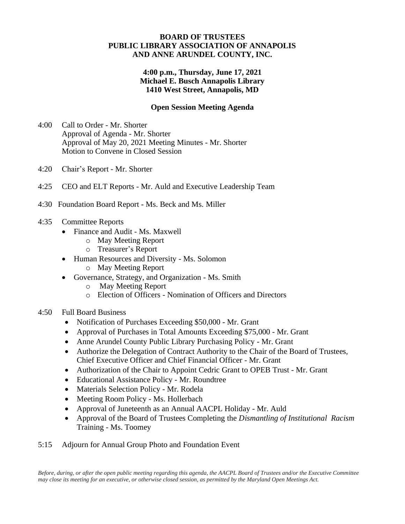## **BOARD OF TRUSTEES PUBLIC LIBRARY ASSOCIATION OF ANNAPOLIS AND ANNE ARUNDEL COUNTY, INC.**

## **4:00 p.m., Thursday, June 17, 2021 Michael E. Busch Annapolis Library 1410 West Street, Annapolis, MD**

## **Open Session Meeting Agenda**

- 4:00 Call to Order Mr. Shorter Approval of Agenda - Mr. Shorter Approval of May 20, 2021 Meeting Minutes - Mr. Shorter Motion to Convene in Closed Session
- 4:20 Chair's Report Mr. Shorter
- 4:25 CEO and ELT Reports Mr. Auld and Executive Leadership Team
- 4:30 Foundation Board Report Ms. Beck and Ms. Miller
- 4:35 Committee Reports
	- Finance and Audit Ms. Maxwell
		- o May Meeting Report
		- o Treasurer's Report
	- Human Resources and Diversity Ms. Solomon
		- o May Meeting Report
	- Governance, Strategy, and Organization Ms. Smith
		- o May Meeting Report
		- o Election of Officers Nomination of Officers and Directors
- 4:50 Full Board Business
	- Notification of Purchases Exceeding \$50,000 Mr. Grant
	- Approval of Purchases in Total Amounts Exceeding \$75,000 Mr. Grant
	- Anne Arundel County Public Library Purchasing Policy Mr. Grant
	- Authorize the Delegation of Contract Authority to the Chair of the Board of Trustees, Chief Executive Officer and Chief Financial Officer - Mr. Grant
	- Authorization of the Chair to Appoint Cedric Grant to OPEB Trust Mr. Grant
	- Educational Assistance Policy Mr. Roundtree
	- Materials Selection Policy Mr. Rodela
	- Meeting Room Policy Ms. Hollerbach
	- Approval of Juneteenth as an Annual AACPL Holiday Mr. Auld
	- Approval of the Board of Trustees Completing the *Dismantling of Institutional Racism* Training - Ms. Toomey
- 5:15 Adjourn for Annual Group Photo and Foundation Event